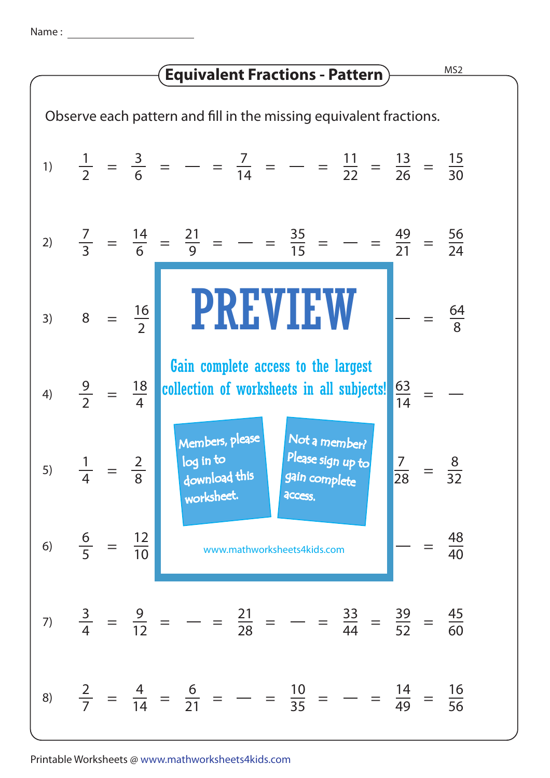